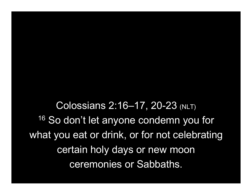Colossians 2:16–17, 20-23 (NLT) <sup>16</sup> So don't let anyone condemn you for what you eat or drink, or for not celebrating certain holy days or new moon ceremonies or Sabbaths.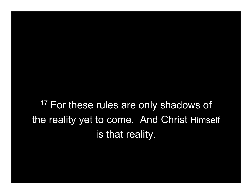<sup>17</sup> For these rules are only shadows of the reality yet to come. And Christ Himself is that reality.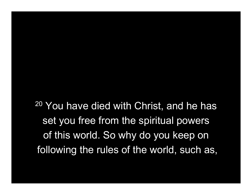<sup>20</sup> You have died with Christ, and he has set you free from the spiritual powers of this world. So why do you keep on following the rules of the world, such as,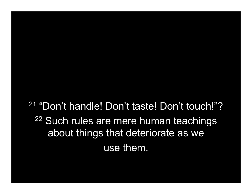### <sup>21</sup> "Don't handle! Don't taste! Don't touch!"? <sup>22</sup> Such rules are mere human teachings about things that deteriorate as we use them.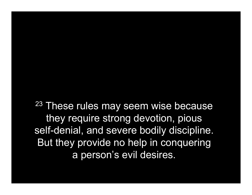<sup>23</sup> These rules may seem wise because they require strong devotion, pious self-denial, and severe bodily discipline. But they provide no help in conquering a person's evil desires.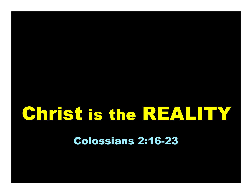# Christ is the REALITY

#### Colossians 2:16-23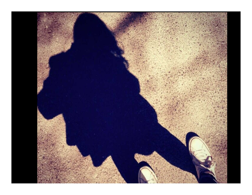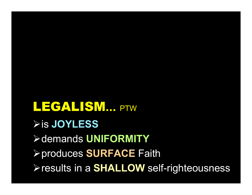### LEGALISM... PTW **≻is JOYLESS ≻demands UNIFORMITY ≻produces SURFACE Faith ≻results in a SHALLOW self-righteousness**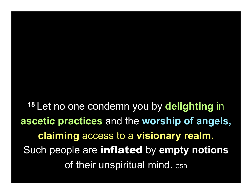<sup>18</sup> Let no one condemn you by delighting in ascetic practices and the worship of angels, claiming access to a visionary realm. Such people are inflated by empty notions of their unspiritual mind. CSB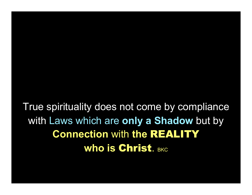True spirituality does not come by compliance with Laws which are only a Shadow but by Connection with the REALITY Who is Christ. BKC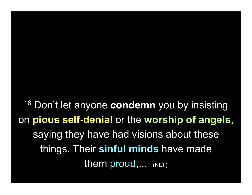<sup>18</sup> Don't let anyone **condemn** you by insisting on pious self-denial or the worship of angels, saying they have had visions about these things. Their sinful minds have made them proud,... (NLT)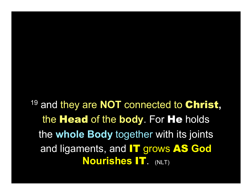<sup>19</sup> and they are **NOT** connected to **Christ**, the Head of the body. For He holds the whole Body together with its joints and ligaments, and T grows AS God Nourishes IT. (NLT)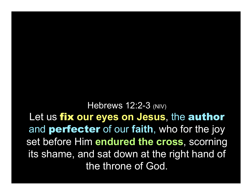**Hebrews 12:2-3 (NIV)** Let us fix our eyes on Jesus, the author and perfecter of our faith, who for the joy set before Him endured the cross, scorning its shame, and sat down at the right hand of the throne of God.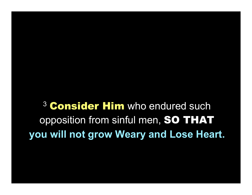<sup>3</sup> Consider Him who endured such opposition from sinful men, SO THAT you will not grow Weary and Lose Heart.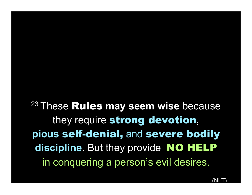23 These Rules may seem wise because they require strong devotion, pious self-denial, and severe bodily discipline. But they provide NO HELP in conquering a person's evil desires.

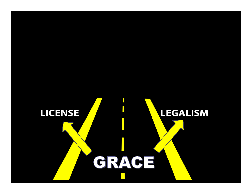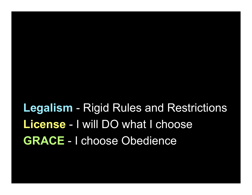## Legalism - Rigid Rules and Restrictions License - I will DO what I choose GRACE - I choose Obedience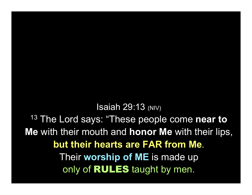Isaiah 29:13 (NIV) <sup>13</sup> The Lord says: "These people come near to Me with their mouth and honor Me with their lips, but their hearts are FAR from Me. Their worship of ME is made up only of **RULES** taught by men.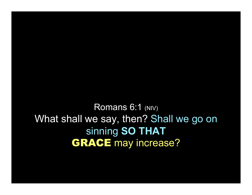Romans 6:1 (NIV) What shall we say, then? Shall we go on sinning SO THAT GRACE may increase?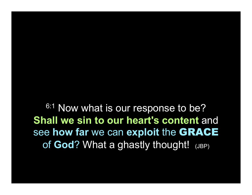<sup>6:1</sup> Now what is our response to be? Shall we sin to our heart's content and see how far we can exploit the GRACE of God? What a ghastly thought! (JBP)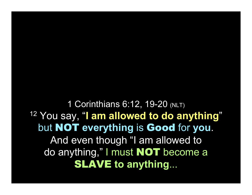1 Corinthians 6:12, 19-20 (NLT) <sup>12</sup> You say, "I am allowed to do anything" but NOT everything is Good for you. And even though "I am allowed to do anything," I must NOT become a **SLAVE to anything...**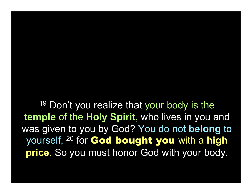<sup>19</sup> Don't you realize that your body is the temple of the Holy Spirit, who lives in you and was given to you by God? You do not belong to yourself, <sup>20</sup> for **God bought you** with a high price. So you must honor God with your body.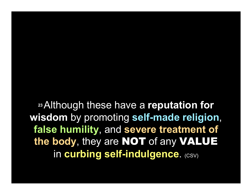23 Although these have a reputation for wisdom by promoting self-made religion, false humility, and severe treatment of the body, they are NOT of any VALUE in curbing self-indulgence. (CSV)